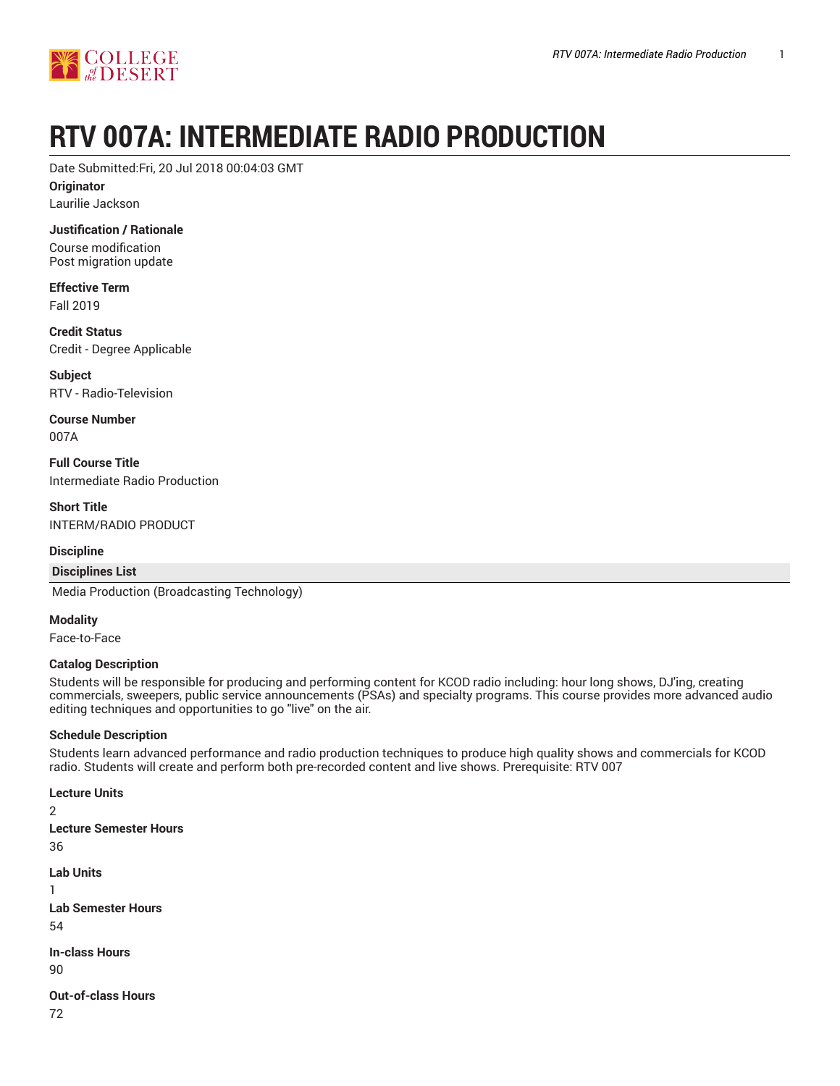# **RTV 007A: INTERMEDIATE RADIO PRODUCTION**

Date Submitted:Fri, 20 Jul 2018 00:04:03 GMT

**Originator**

Laurilie Jackson

**Justification / Rationale**

Course modification Post migration update

**Effective Term** Fall 2019

**Credit Status** Credit - Degree Applicable

**Subject** RTV - Radio-Television

**Course Number** 007A

**Full Course Title** Intermediate Radio Production

**Short Title** INTERM/RADIO PRODUCT

# **Discipline**

**Disciplines List**

Media Production (Broadcasting Technology)

**Modality**

Face-to-Face

# **Catalog Description**

Students will be responsible for producing and performing content for KCOD radio including: hour long shows, DJ'ing, creating commercials, sweepers, public service announcements (PSAs) and specialty programs. This course provides more advanced audio editing techniques and opportunities to go "live" on the air.

# **Schedule Description**

Students learn advanced performance and radio production techniques to produce high quality shows and commercials for KCOD radio. Students will create and perform both pre-recorded content and live shows. Prerequisite: RTV 007

# **Lecture Units**

2

**Lecture Semester Hours** 36 **Lab Units** 1 **Lab Semester Hours** 54 **In-class Hours** 90 **Out-of-class Hours** 72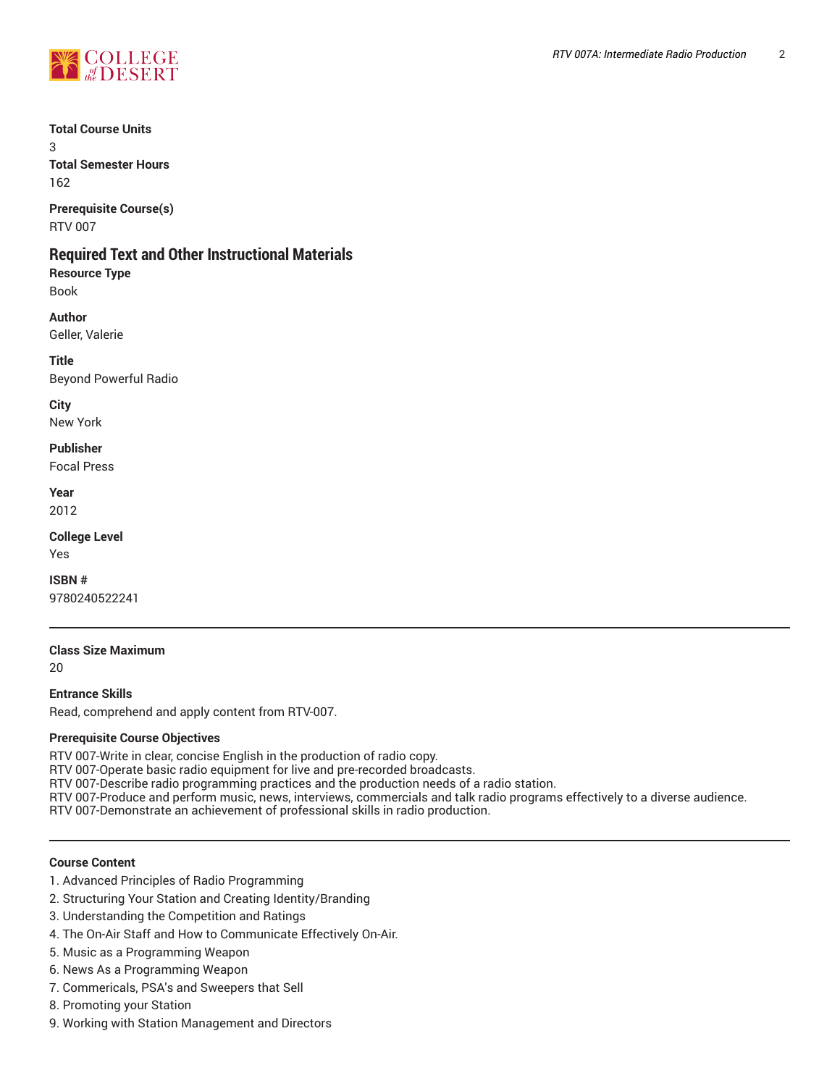

## **Total Course Units**

3 **Total Semester Hours**

162 **Prerequisite Course(s)**

RTV 007

# **Required Text and Other Instructional Materials**

**Resource Type** Book

**Author** Geller, Valerie

**Title** Beyond Powerful Radio

**City** New York

**Publisher**

Focal Press

**Year** 2012

**College Level** Yes

**ISBN #**

9780240522241

**Class Size Maximum**

20

**Entrance Skills**

Read, comprehend and apply content from RTV-007.

# **Prerequisite Course Objectives**

RTV 007-Write in clear, concise English in the production of radio copy.

RTV 007-Operate basic radio equipment for live and pre-recorded broadcasts.

RTV 007-Describe radio programming practices and the production needs of a radio station.

RTV 007-Produce and perform music, news, interviews, commercials and talk radio programs effectively to a diverse audience.

RTV 007-Demonstrate an achievement of professional skills in radio production.

# **Course Content**

- 1. Advanced Principles of Radio Programming
- 2. Structuring Your Station and Creating Identity/Branding
- 3. Understanding the Competition and Ratings
- 4. The On-Air Staff and How to Communicate Effectively On-Air.
- 5. Music as a Programming Weapon
- 6. News As a Programming Weapon
- 7. Commericals, PSA's and Sweepers that Sell
- 8. Promoting your Station
- 9. Working with Station Management and Directors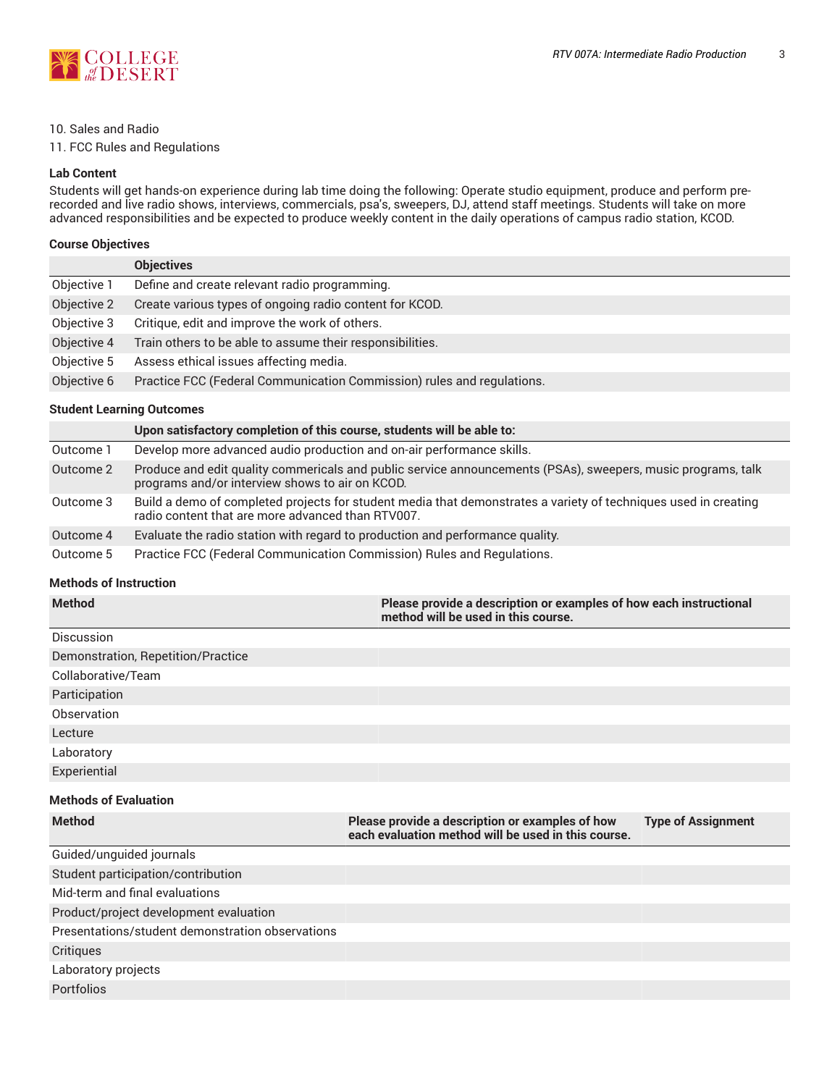

#### 10. Sales and Radio

11. FCC Rules and Regulations

#### **Lab Content**

Students will get hands-on experience during lab time doing the following: Operate studio equipment, produce and perform prerecorded and live radio shows, interviews, commercials, psa's, sweepers, DJ, attend staff meetings. Students will take on more advanced responsibilities and be expected to produce weekly content in the daily operations of campus radio station, KCOD.

#### **Course Objectives**

|             | <b>Objectives</b>                                                      |
|-------------|------------------------------------------------------------------------|
| Objective 1 | Define and create relevant radio programming.                          |
| Objective 2 | Create various types of ongoing radio content for KCOD.                |
| Objective 3 | Critique, edit and improve the work of others.                         |
| Objective 4 | Train others to be able to assume their responsibilities.              |
| Objective 5 | Assess ethical issues affecting media.                                 |
| Objective 6 | Practice FCC (Federal Communication Commission) rules and regulations. |

## **Student Learning Outcomes**

|           | Upon satisfactory completion of this course, students will be able to:                                                                                               |  |
|-----------|----------------------------------------------------------------------------------------------------------------------------------------------------------------------|--|
| Outcome 1 | Develop more advanced audio production and on-air performance skills.                                                                                                |  |
| Outcome 2 | Produce and edit quality commericals and public service announcements (PSAs), sweepers, music programs, talk<br>programs and/or interview shows to air on KCOD.      |  |
| Outcome 3 | Build a demo of completed projects for student media that demonstrates a variety of techniques used in creating<br>radio content that are more advanced than RTV007. |  |
| Outcome 4 | Evaluate the radio station with regard to production and performance quality.                                                                                        |  |
| Outcome 5 | Practice FCC (Federal Communication Commission) Rules and Regulations.                                                                                               |  |

#### **Methods of Instruction**

| <b>Method</b>                                    | Please provide a description or examples of how each instructional<br>method will be used in this course. |                           |  |
|--------------------------------------------------|-----------------------------------------------------------------------------------------------------------|---------------------------|--|
| Discussion                                       |                                                                                                           |                           |  |
| Demonstration, Repetition/Practice               |                                                                                                           |                           |  |
| Collaborative/Team                               |                                                                                                           |                           |  |
| Participation                                    |                                                                                                           |                           |  |
| Observation                                      |                                                                                                           |                           |  |
| Lecture                                          |                                                                                                           |                           |  |
| Laboratory                                       |                                                                                                           |                           |  |
| Experiential                                     |                                                                                                           |                           |  |
| <b>Methods of Evaluation</b>                     |                                                                                                           |                           |  |
| <b>Method</b>                                    | Please provide a description or examples of how<br>each evaluation method will be used in this course.    | <b>Type of Assignment</b> |  |
| Guided/unguided journals                         |                                                                                                           |                           |  |
| Student participation/contribution               |                                                                                                           |                           |  |
| Mid-term and final evaluations                   |                                                                                                           |                           |  |
| Product/project development evaluation           |                                                                                                           |                           |  |
| Presentations/student demonstration observations |                                                                                                           |                           |  |
| Critiques                                        |                                                                                                           |                           |  |
| Laboratory projects                              |                                                                                                           |                           |  |
| Portfolios                                       |                                                                                                           |                           |  |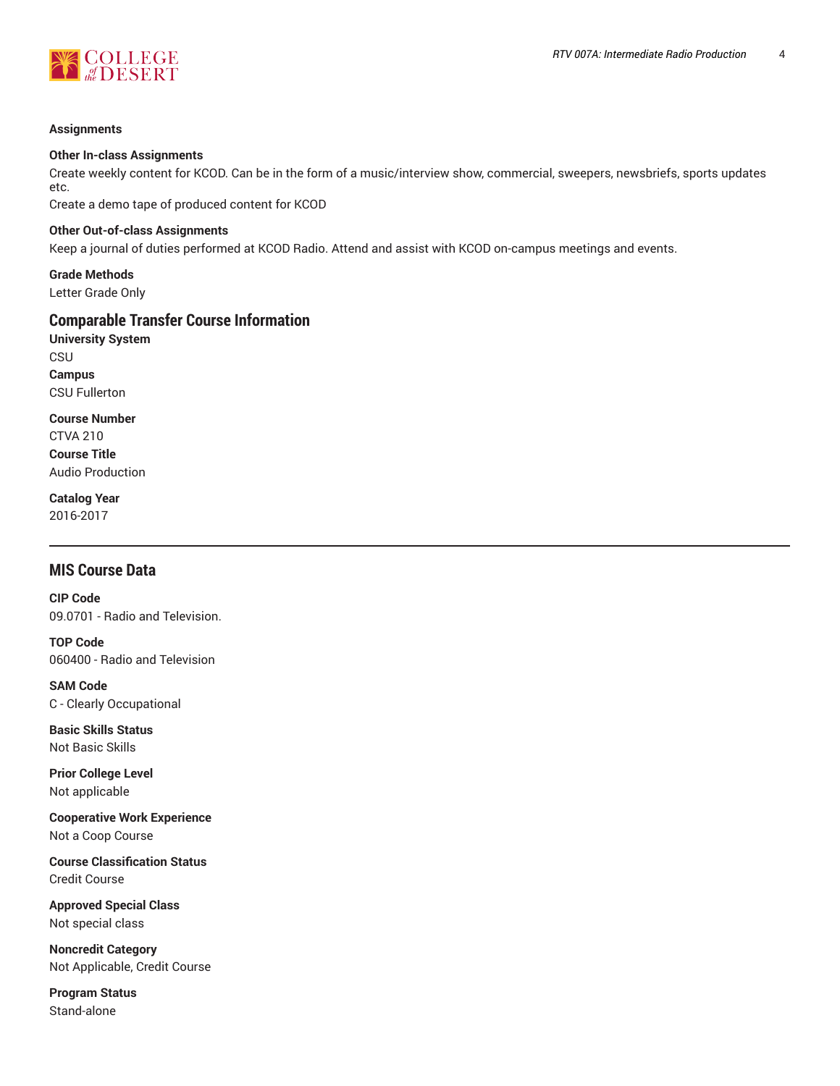



#### **Assignments**

#### **Other In-class Assignments**

Create weekly content for KCOD. Can be in the form of a music/interview show, commercial, sweepers, newsbriefs, sports updates etc.

Create a demo tape of produced content for KCOD

#### **Other Out-of-class Assignments**

Keep a journal of duties performed at KCOD Radio. Attend and assist with KCOD on-campus meetings and events.

**Grade Methods** Letter Grade Only

# **Comparable Transfer Course Information**

**University System CSU Campus** CSU Fullerton

**Course Number** CTVA 210 **Course Title** Audio Production

**Catalog Year** 2016-2017

# **MIS Course Data**

**CIP Code** 09.0701 - Radio and Television.

**TOP Code** 060400 - Radio and Television

**SAM Code** C - Clearly Occupational

**Basic Skills Status** Not Basic Skills

**Prior College Level** Not applicable

**Cooperative Work Experience** Not a Coop Course

**Course Classification Status** Credit Course

**Approved Special Class** Not special class

**Noncredit Category** Not Applicable, Credit Course

**Program Status** Stand-alone